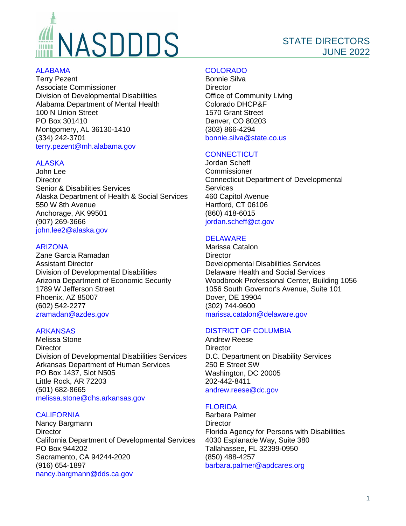# NASDDDS

# STATE DIRECTORS JUNE 2022

#### [ALABAMA](https://mh.alabama.gov/division-of-developmental-disabilities/)

Terry Pezent Associate Commissioner Division of Developmental Disabilities Alabama Department of Mental Health 100 N Union Street PO Box 301410 Montgomery, AL 36130-1410 (334) 242-3701 [terry.pezent@mh.alabama.gov](mailto:terry.pezent@mh.alabama.gov)

# **[ALASKA](http://dhss.alaska.gov/dsds/Pages/default.aspx)**

John Lee **Director** Senior & Disabilities Services Alaska Department of Health & Social Services 550 W 8th Avenue Anchorage, AK 99501 (907) 269-3666 [john.lee2@alaska.gov](mailto:john.lee2@alaska.gov)

# [ARIZONA](https://www.azdes.gov/ddd/)

Zane Garcia Ramadan Assistant Director Division of Developmental Disabilities Arizona Department of Economic Security 1789 W Jefferson Street Phoenix, AZ 85007 (602) 542-2277 [zramadan@azdes.gov](mailto:zramadan@azdes.gov)

# [ARKANSAS](http://www.state.ar.us/dhs/ddds/)

Melissa Stone **Director** Division of Developmental Disabilities Services Arkansas Department of Human Services PO Box 1437, Slot N505 Little Rock, AR 72203 (501) 682-8665 [melissa.stone@dhs.arkansas.gov](mailto:melissa.stone@dhs.arkansas.gov)

# **[CALIFORNIA](http://www.dds.ca.gov/)**

Nancy Bargmann **Director** California Department of Developmental Services PO Box 944202 Sacramento, CA 94244-2020 (916) 654-1897 [nancy.bargmann@dds.ca.gov](mailto:nancy.bargmann@dds.ca.gov)

# [COLORADO](https://www.colorado.gov/pacific/hcpf/office-community-living)

Bonnie Silva **Director** Office of Community Living Colorado DHCP&F 1570 Grant Street Denver, CO 80203 (303) 866-4294 [bonnie.silva@state.co.us](mailto:bonnie.silva@state.co.us)

# **[CONNECTICUT](https://portal.ct.gov/dds)**

Jordan Scheff **Commissioner** Connecticut Department of Developmental **Services** 460 Capitol Avenue Hartford, CT 06106 (860) 418-6015 [jordan.scheff@ct.gov](mailto:jordan.scheff@ct.gov)

#### **[DELAWARE](http://www.dhss.delaware.gov/dhss/ddds/index.html)**

Marissa Catalon **Director** Developmental Disabilities Services Delaware Health and Social Services Woodbrook Professional Center, Building 1056 1056 South Governor's Avenue, Suite 101 Dover, DE 19904 (302) 744-9600 [marissa.catalon@delaware.gov](mailto:marissa.catalon@delaware.gov)

# [DISTRICT OF COLUMBIA](http://dds.dc.gov/)

Andrew Reese **Director** D.C. Department on Disability Services 250 E Street SW Washington, DC 20005 202-442-8411 [andrew.reese@dc.gov](mailto:andrew.reese@dc.gov)

# **[FLORIDA](http://apd.myflorida.com/)**

Barbara Palmer **Director** Florida Agency for Persons with Disabilities 4030 Esplanade Way, Suite 380 Tallahassee, FL 32399-0950 (850) 488-4257 [barbara.palmer@apdcares.org](mailto:barbara.palmer@apdcares.org)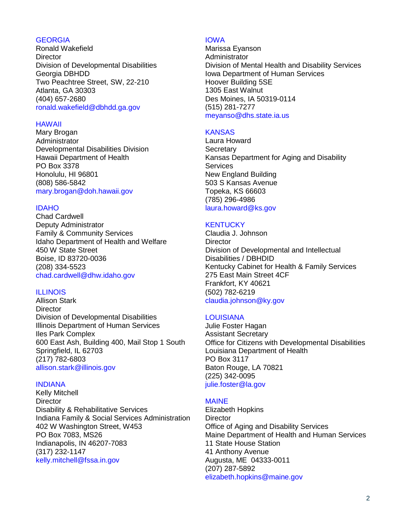# **[GEORGIA](http://dbhdd.georgia.gov/developmental-disabilities)**

Ronald Wakefield **Director** Division of Developmental Disabilities Georgia DBHDD Two Peachtree Street, SW, 22-210 Atlanta, GA 30303 (404) 657-2680 [ronald.wakefield@dbhdd.ga.gov](mailto:ronald.wakefield@dbhdd.ga.gov)

#### [HAWAII](http://health.hawaii.gov/ddd/)

Mary Brogan Administrator Developmental Disabilities Division Hawaii Department of Health PO Box 3378 Honolulu, HI 96801 (808) 586-5842 [mary.brogan@doh.hawaii.gov](mailto:mary.brogan@doh.hawaii.gov)

# [IDAHO](http://www.healthandwelfare.idaho.gov/Medical/DevelopmentalDisabilities/tabid/120/Default.aspx)

Chad Cardwell Deputy Administrator Family & Community Services Idaho Department of Health and Welfare 450 W State Street Boise, ID 83720-0036 (208) 334-5523 chad.cardwell@dhw.idaho.gov

# [ILLINOIS](http://www.dhs.state.il.us/page.aspx?item=29761)

Allison Stark **Director** Division of Developmental Disabilities Illinois Department of Human Services Iles Park Complex 600 East Ash, Building 400, Mail Stop 1 South Springfield, IL 62703 (217) 782-6803 [allison.stark@illinois.gov](mailto:allison.stark@illinois.gov)

#### [INDIANA](http://www.in.gov/fssa/2328.htm)

Kelly Mitchell **Director** Disability & Rehabilitative Services Indiana Family & Social Services Administration 402 W Washington Street, W453 PO Box 7083, MS26 Indianapolis, IN 46207-7083 (317) 232-1147 [kelly.mitchell@fssa.in.gov](mailto:kelly.mitchell@fssa.in.gov)

#### [IOWA](http://dhs.iowa.gov/mhds/disability-services)

Marissa Eyanson Administrator Division of Mental Health and Disability Services Iowa Department of Human Services Hoover Building 5SE 1305 East Walnut Des Moines, IA 50319-0114 (515) 281-7277 [meyanso@dhs.state.ia.us](mailto:meyanso@dhs.state.ia.us)

#### **[KANSAS](http://www.kdads.ks.gov/)**

Laura Howard **Secretary** Kansas Department for Aging and Disability **Services** New England Building 503 S Kansas Avenue Topeka, KS 66603 (785) 296-4986 [laura.howard@ks.gov](mailto:laura.howard@ks.gov)

# **[KENTUCKY](http://dbhdid.ky.gov/ddid/)**

Claudia J. Johnson **Director** Division of Developmental and Intellectual Disabilities / DBHDID Kentucky Cabinet for Health & Family Services 275 East Main Street 4CF Frankfort, KY 40621 (502) 782-6219 [claudia.johnson@ky.gov](mailto:claudia.johnson@ky.gov)

# [LOUISIANA](http://dhh.louisiana.gov/index.cfm/subhome/11)

Julie Foster Hagan Assistant Secretary Office for Citizens with Developmental Disabilities Louisiana Department of Health PO Box 3117 Baton Rouge, LA 70821 (225) 342-0095 [julie.foster@la.gov](mailto:julie.foster@la.gov)

# [MAINE](https://www.maine.gov/dhhs/oads/index.html)

Elizabeth Hopkins **Director** Office of Aging and Disability Services Maine Department of Health and Human Services 11 State House Station 41 Anthony Avenue Augusta, ME 04333-0011 (207) 287-5892 [elizabeth.hopkins@maine.gov](mailto:elizabeth.hopkins@maine.gov)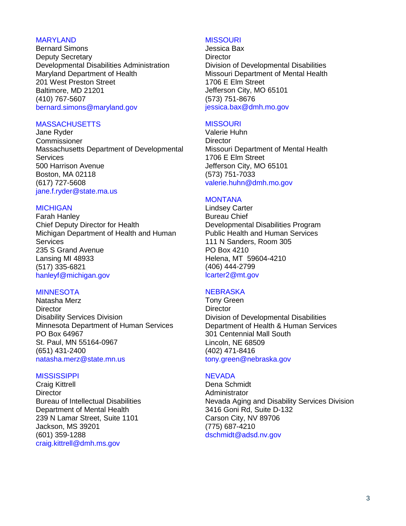#### [MARYLAND](https://dda.health.maryland.gov/Pages/home.aspx)

Bernard Simons Deputy Secretary Developmental Disabilities Administration Maryland Department of Health 201 West Preston Street Baltimore, MD 21201 (410) 767-5607 [bernard.simons@maryland.gov](mailto:bernard.simons@maryland.gov)

#### **[MASSACHUSETTS](http://www.mass.gov/eohhs/gov/departments/dds/)**

Jane Ryder Commissioner Massachusetts Department of Developmental **Services** 500 Harrison Avenue Boston, MA 02118 (617) 727-5608 [jane.f.ryder@state.ma.us](mailto:jane.f.ryder@state.ma.us)

# **[MICHIGAN](https://www.michigan.gov/mdhhs/0,5885,7-339-73971_7122_108948---,00.html)**

Farah Hanley Chief Deputy Director for Health Michigan Department of Health and Human **Services** 235 S Grand Avenue Lansing MI 48933 (517) 335-6821 [hanleyf@michigan.gov](mailto:hanleyf@michigan.gov)

#### **[MINNESOTA](http://www.dhs.state.mn.us/main/idcplg?IdcService=GET_DYNAMIC_CONVERSION&RevisionSelectionMethod=LatestReleased&dDocName=id_000083)**

Natasha Merz **Director** Disability Services Division Minnesota Department of Human Services PO Box 64967 St. Paul, MN 55164-0967 (651) 431-2400 [natasha.merz@state.mn.us](mailto:natasha.merz@state.mn.us)

# **[MISSISSIPPI](http://www.dmh.ms.gov/service-options/idd-services/)**

Craig Kittrell **Director** Bureau of Intellectual Disabilities Department of Mental Health 239 N Lamar Street, Suite 1101 Jackson, MS 39201 (601) 359-1288 [craig.kittrell@dmh.ms.gov](mailto:craig.kittrell@dmh.ms.gov)

#### **[MISSOURI](http://dmh.mo.gov/dd/)**

Jessica Bax **Director** Division of Developmental Disabilities Missouri Department of Mental Health 1706 E Elm Street Jefferson City, MO 65101 (573) 751-8676 [jessica.bax@dmh.mo.gov](mailto:jessica.bax@dmh.mo.gov)

#### **[MISSOURI](http://dmh.mo.gov/dd/)**

Valerie Huhn **Director** Missouri Department of Mental Health 1706 E Elm Street Jefferson City, MO 65101 (573) 751-7033 [valerie.huhn@dmh.mo.gov](mailto:valerie.huhn@dmh.mo.gov)

#### [MONTANA](http://www.dphhs.mt.gov/dsd/ddp/index.shtml)

Lindsey Carter Bureau Chief Developmental Disabilities Program Public Health and Human Services 111 N Sanders, Room 305 PO Box 4210 Helena, MT 59604-4210 (406) 444-2799 [lcarter2@mt.gov](mailto:lcarter2@mt.gov)

# **[NEBRASKA](http://dhhs.ne.gov/Pages/Developmental-Disabilities.aspx)**

Tony Green **Director** Division of Developmental Disabilities Department of Health & Human Services 301 Centennial Mall South Lincoln, NE 68509 (402) 471-8416 tony.green@nebraska.gov

#### **[NEVADA](http://adsd.nv.gov/)**

Dena Schmidt Administrator Nevada Aging and Disability Services Division 3416 Goni Rd, Suite D-132 Carson City, NV 89706 (775) 687-4210 [dschmidt@adsd.nv.gov](mailto:dschmidt@adsd.nv.gov)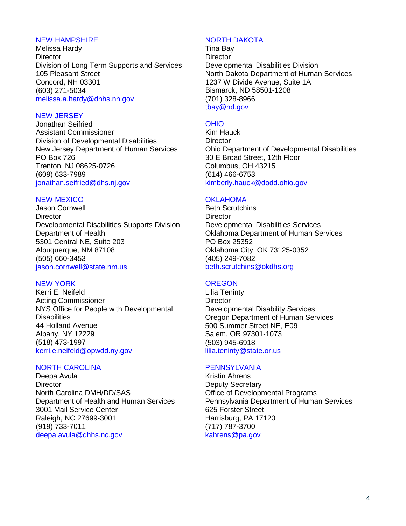# [NEW HAMPSHIRE](http://www.dhhs.nh.gov/dcbcs/bds/index.htm)

Melissa Hardy **Director** Division of Long Term Supports and Services 105 Pleasant Street Concord, NH 03301 (603) 271-5034 [melissa.a.hardy@dhhs.nh.gov](mailto:melissa.a.hardy@dhhs.nh.gov)

#### [NEW JERSEY](http://www.state.nj.us/humanservices/ddd/home/index.html)

Jonathan Seifried Assistant Commissioner Division of Developmental Disabilities New Jersey Department of Human Services PO Box 726 Trenton, NJ 08625-0726 (609) 633-7989 [jonathan.seifried@dhs.nj.gov](mailto:jonathan.seifried@dhs.nj.gov)

#### [NEW MEXICO](https://nmhealth.org/about/ddsd/)

Jason Cornwell **Director** Developmental Disabilities Supports Division Department of Health 5301 Central NE, Suite 203 Albuquerque, NM 87108 (505) 660-3453 [jason.cornwell@state.nm.us](mailto:jason.cornwell@state.nm.us)

# [NEW YORK](http://www.opwdd.ny.gov/)

Kerri E. Neifeld Acting Commissioner NYS Office for People with Developmental **Disabilities** 44 Holland Avenue Albany, NY 12229 (518) 473-1997 [kerri.e.neifeld@opwdd.ny.gov](mailto:kerri.e.neifeld@opwdd.ny.gov)

#### [NORTH CAROLINA](http://www.ncdhhs.gov/mhddsas)

Deepa Avula **Director** North Carolina DMH/DD/SAS Department of Health and Human Services 3001 Mail Service Center Raleigh, NC 27699-3001 (919) 733-7011 [deepa.avula@dhhs.nc.gov](mailto:deepa.avula@dhhs.nc.gov)

#### [NORTH DAKOTA](http://www.nd.gov/dhs/services/disabilities/index.html)

Tina Bay **Director** Developmental Disabilities Division North Dakota Department of Human Services 1237 W Divide Avenue, Suite 1A Bismarck, ND 58501-1208 (701) 328-8966 [tbay@nd.gov](mailto:tbay@nd.gov)

#### [OHIO](http://dodd.ohio.gov/)

Kim Hauck **Director** Ohio Department of Developmental Disabilities 30 E Broad Street, 12th Floor Columbus, OH 43215 (614) 466-6753 [kimberly.hauck@dodd.ohio.gov](mailto:kimberly.hauck@dodd.ohio.gov)

#### **[OKLAHOMA](http://www.okdhs.org/services/dd/Pages/default.aspx)**

Beth Scrutchins **Director** Developmental Disabilities Services Oklahoma Department of Human Services PO Box 25352 Oklahoma City, OK 73125-0352 (405) 249-7082 [beth.scrutchins@okdhs.org](mailto:beth.scrutchins@okdhs.org)

#### **[OREGON](http://www.oregon.gov/DHS/dd/Pages/index.aspx)**

Lilia Teninty **Director** Developmental Disability Services Oregon Department of Human Services 500 Summer Street NE, E09 Salem, OR 97301-1073 (503) 945-6918 [lilia.teninty@state.or.us](mailto:lilia.teninty@state.or.us)

# **[PENNSYLVANIA](http://www.dhs.pa.gov/)**

Kristin Ahrens Deputy Secretary Office of Developmental Programs Pennsylvania Department of Human Services 625 Forster Street Harrisburg, PA 17120 (717) 787-3700 [kahrens@pa.gov](mailto:kahrens@pa.gov)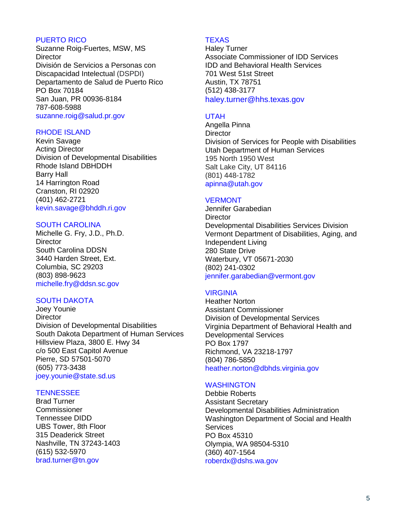#### [PUERTO RICO](https://www.salud.gov.pr/)

Suzanne Roig-Fuertes, MSW, MS **Director** División de Servicios a Personas con Discapacidad Intelectual (DSPDI) Departamento de Salud de Puerto Rico PO Box 70184 San Juan, PR 00936-8184 787-608-5988 [suzanne.roig@salud.pr.gov](mailto:Suzanne.roig@salud.pr.gov)

#### [RHODE ISLAND](http://www.bhddh.ri.gov/)

Kevin Savage Acting Director Division of Developmental Disabilities Rhode Island DBHDDH Barry Hall 14 Harrington Road Cranston, RI 02920 (401) 462-2721 [kevin.savage@bhddh.ri.gov](mailto:kevin.savage@bhddh.ri.gov)

#### [SOUTH CAROLINA](https://ddsn.sc.gov/)

Michelle G. Fry, J.D., Ph.D. **Director** South Carolina DDSN 3440 Harden Street, Ext. Columbia, SC 29203 (803) 898-9623 [michelle.fry@ddsn.sc.gov](mailto:michelle.fry@ddsn.sc.gov)

# [SOUTH DAKOTA](https://dhs.sd.gov/developmentaldisabilities/default.aspx)

Joey Younie **Director** Division of Developmental Disabilities South Dakota Department of Human Services Hillsview Plaza, 3800 E. Hwy 34 c/o 500 East Capitol Avenue Pierre, SD 57501-5070 (605) 773-3438 [joey.younie@state.sd.us](mailto:joey.younie@state.sd.us)

# **[TENNESSEE](http://www.tn.gov/didd)**

Brad Turner **Commissioner** Tennessee DIDD UBS Tower, 8th Floor 315 Deaderick Street Nashville, TN 37243-1403 (615) 532-5970 [brad.turner@tn.gov](mailto:brad.turner@tn.gov)

# **[TEXAS](https://www.hhs.texas.gov/services/disability/intellectual-or-developmental-disabilities-idd-long-term-care)**

Haley Turner Associate Commissioner of IDD Services IDD and Behavioral Health Services 701 West 51st Street Austin, TX 78751 (512) 438-3177 [haley.turner@hhs.texas.gov](mailto:Haley.Turner@hhs.texas.gov)

#### [UTAH](https://dspd.utah.gov/)

Angella Pinna **Director** Division of Services for People with Disabilities Utah Department of Human Services 195 North 1950 West Salt Lake City, UT 84116 (801) 448-1782 [apinna@utah.gov](mailto:apinna@utah.gov)

#### [VERMONT](https://ddsd.vermont.gov/)

Jennifer Garabedian **Director** Developmental Disabilities Services Division Vermont Department of Disabilities, Aging, and Independent Living 280 State Drive Waterbury, VT 05671-2030 (802) 241-0302 [jennifer.garabedian@vermont.gov](mailto:jennifer.garabedian@vermont.gov)

# [VIRGINIA](http://www.dbhds.virginia.gov/)

Heather Norton Assistant Commissioner Division of Developmental Services Virginia Department of Behavioral Health and Developmental Services PO Box 1797 Richmond, VA 23218-1797 (804) 786-5850 [heather.norton@dbhds.virginia.gov](mailto:heather.norton@dbhds.virginia.gov)

# **[WASHINGTON](https://www.dshs.wa.gov/DDA)**

Debbie Roberts Assistant Secretary Developmental Disabilities Administration Washington Department of Social and Health **Services** PO Box 45310 Olympia, WA 98504-5310 (360) 407-1564 [roberdx@dshs.wa.gov](mailto:roberdx@dshs.wa.gov)